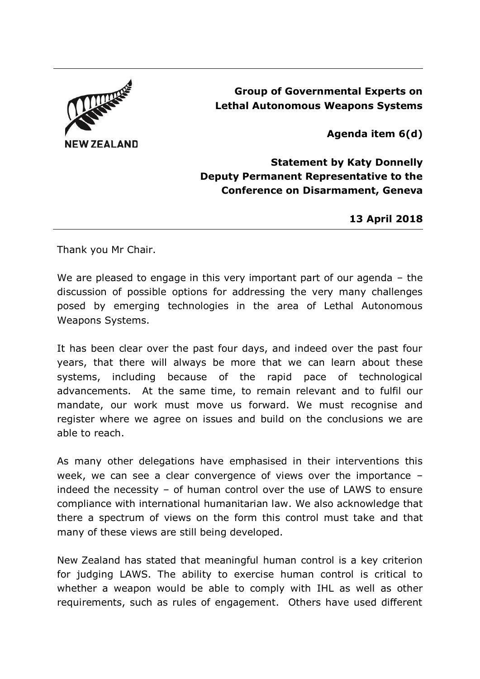

## **Group of Governmental Experts on Lethal Autonomous Weapons Systems**

**Agenda item 6(d)**

**Statement by Katy Donnelly Deputy Permanent Representative to the Conference on Disarmament, Geneva**

**13 April 2018**

Thank you Mr Chair.

We are pleased to engage in this very important part of our agenda - the discussion of possible options for addressing the very many challenges posed by emerging technologies in the area of Lethal Autonomous Weapons Systems.

It has been clear over the past four days, and indeed over the past four years, that there will always be more that we can learn about these systems, including because of the rapid pace of technological advancements. At the same time, to remain relevant and to fulfil our mandate, our work must move us forward. We must recognise and register where we agree on issues and build on the conclusions we are able to reach.

As many other delegations have emphasised in their interventions this week, we can see a clear convergence of views over the importance – indeed the necessity – of human control over the use of LAWS to ensure compliance with international humanitarian law. We also acknowledge that there a spectrum of views on the form this control must take and that many of these views are still being developed.

New Zealand has stated that meaningful human control is a key criterion for judging LAWS. The ability to exercise human control is critical to whether a weapon would be able to comply with IHL as well as other requirements, such as rules of engagement. Others have used different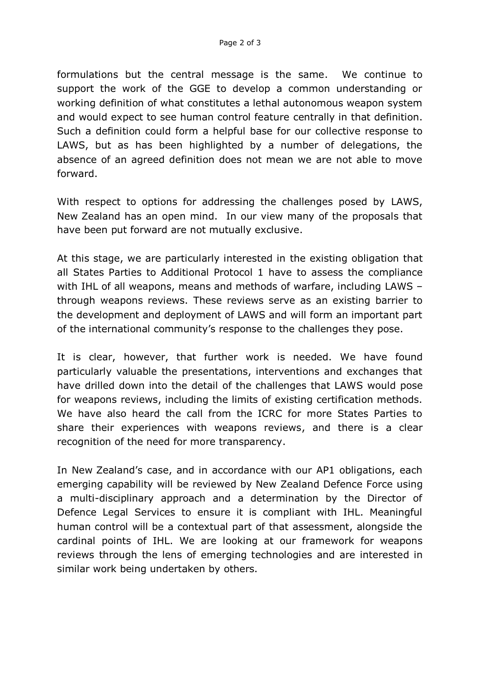formulations but the central message is the same. We continue to support the work of the GGE to develop a common understanding or working definition of what constitutes a lethal autonomous weapon system and would expect to see human control feature centrally in that definition. Such a definition could form a helpful base for our collective response to LAWS, but as has been highlighted by a number of delegations, the absence of an agreed definition does not mean we are not able to move forward.

With respect to options for addressing the challenges posed by LAWS, New Zealand has an open mind. In our view many of the proposals that have been put forward are not mutually exclusive.

At this stage, we are particularly interested in the existing obligation that all States Parties to Additional Protocol 1 have to assess the compliance with IHL of all weapons, means and methods of warfare, including LAWS – through weapons reviews. These reviews serve as an existing barrier to the development and deployment of LAWS and will form an important part of the international community's response to the challenges they pose.

It is clear, however, that further work is needed. We have found particularly valuable the presentations, interventions and exchanges that have drilled down into the detail of the challenges that LAWS would pose for weapons reviews, including the limits of existing certification methods. We have also heard the call from the ICRC for more States Parties to share their experiences with weapons reviews, and there is a clear recognition of the need for more transparency.

In New Zealand's case, and in accordance with our AP1 obligations, each emerging capability will be reviewed by New Zealand Defence Force using a multi-disciplinary approach and a determination by the Director of Defence Legal Services to ensure it is compliant with IHL. Meaningful human control will be a contextual part of that assessment, alongside the cardinal points of IHL. We are looking at our framework for weapons reviews through the lens of emerging technologies and are interested in similar work being undertaken by others.